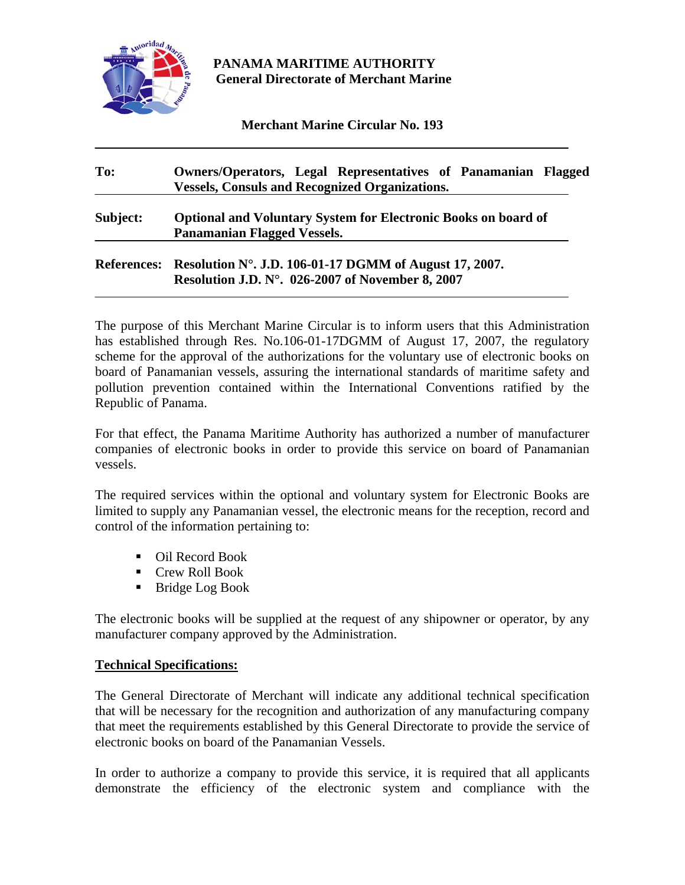

## **PANAMA MARITIME AUTHORITY General Directorate of Merchant Marine**

**Merchant Marine Circular No. 193** 

# **To: Owners/Operators, Legal Representatives of Panamanian Flagged Vessels, Consuls and Recognized Organizations. Subject: Optional and Voluntary System for Electronic Books on board of Panamanian Flagged Vessels. References: Resolution N°. J.D. 106-01-17 DGMM of August 17, 2007. Resolution J.D. N°. 026-2007 of November 8, 2007**

The purpose of this Merchant Marine Circular is to inform users that this Administration has established through Res. No.106-01-17DGMM of August 17, 2007, the regulatory scheme for the approval of the authorizations for the voluntary use of electronic books on board of Panamanian vessels, assuring the international standards of maritime safety and pollution prevention contained within the International Conventions ratified by the Republic of Panama.

For that effect, the Panama Maritime Authority has authorized a number of manufacturer companies of electronic books in order to provide this service on board of Panamanian vessels.

The required services within the optional and voluntary system for Electronic Books are limited to supply any Panamanian vessel, the electronic means for the reception, record and control of the information pertaining to:

- Oil Record Book
- Crew Roll Book
- Bridge Log Book

The electronic books will be supplied at the request of any shipowner or operator, by any manufacturer company approved by the Administration.

#### **Technical Specifications:**

The General Directorate of Merchant will indicate any additional technical specification that will be necessary for the recognition and authorization of any manufacturing company that meet the requirements established by this General Directorate to provide the service of electronic books on board of the Panamanian Vessels.

In order to authorize a company to provide this service, it is required that all applicants demonstrate the efficiency of the electronic system and compliance with the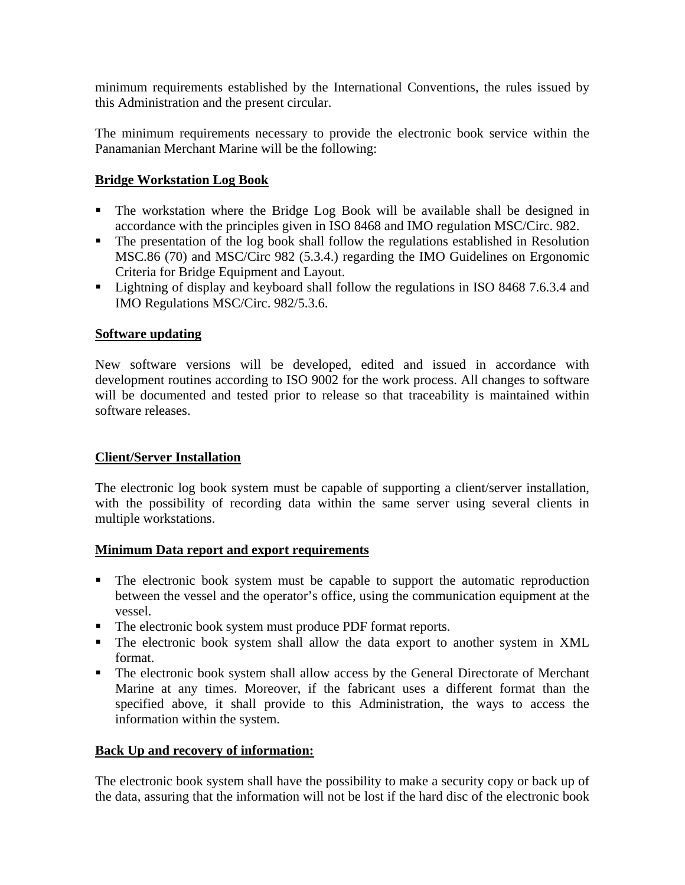minimum requirements established by the International Conventions, the rules issued by this Administration and the present circular.

The minimum requirements necessary to provide the electronic book service within the Panamanian Merchant Marine will be the following:

## **Bridge Workstation Log Book**

- The workstation where the Bridge Log Book will be available shall be designed in accordance with the principles given in ISO 8468 and IMO regulation MSC/Circ. 982.
- The presentation of the log book shall follow the regulations established in Resolution MSC.86 (70) and MSC/Circ 982 (5.3.4.) regarding the IMO Guidelines on Ergonomic Criteria for Bridge Equipment and Layout.
- Lightning of display and keyboard shall follow the regulations in ISO 8468 7.6.3.4 and IMO Regulations MSC/Circ. 982/5.3.6.

## **Software updating**

New software versions will be developed, edited and issued in accordance with development routines according to ISO 9002 for the work process. All changes to software will be documented and tested prior to release so that traceability is maintained within software releases.

## **Client/Server Installation**

The electronic log book system must be capable of supporting a client/server installation, with the possibility of recording data within the same server using several clients in multiple workstations.

## **Minimum Data report and export requirements**

- The electronic book system must be capable to support the automatic reproduction between the vessel and the operator's office, using the communication equipment at the vessel.
- The electronic book system must produce PDF format reports.
- The electronic book system shall allow the data export to another system in XML format.
- The electronic book system shall allow access by the General Directorate of Merchant Marine at any times. Moreover, if the fabricant uses a different format than the specified above, it shall provide to this Administration, the ways to access the information within the system.

## **Back Up and recovery of information:**

The electronic book system shall have the possibility to make a security copy or back up of the data, assuring that the information will not be lost if the hard disc of the electronic book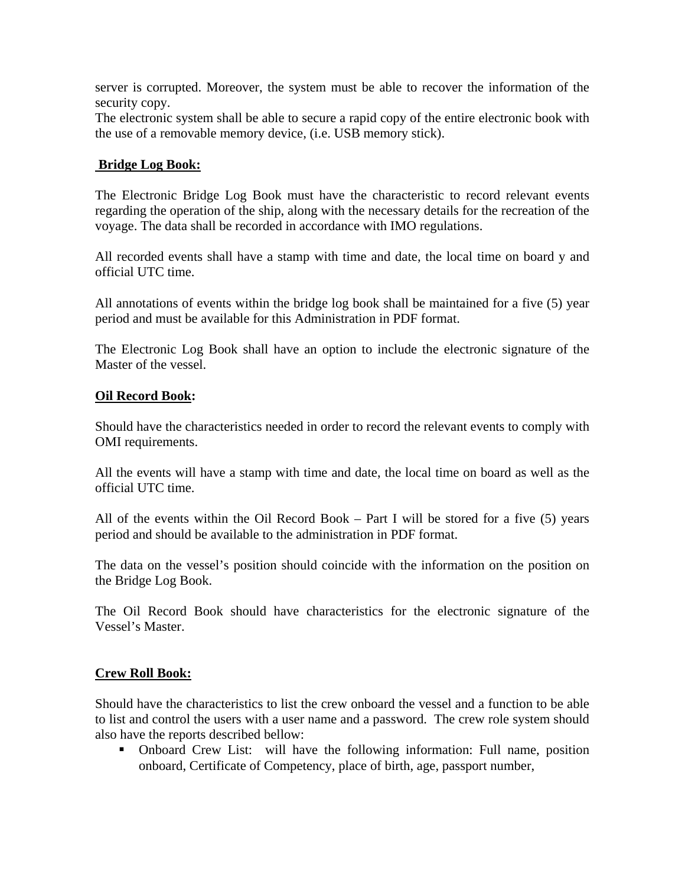server is corrupted. Moreover, the system must be able to recover the information of the security copy.

The electronic system shall be able to secure a rapid copy of the entire electronic book with the use of a removable memory device, (i.e. USB memory stick).

## **Bridge Log Book:**

The Electronic Bridge Log Book must have the characteristic to record relevant events regarding the operation of the ship, along with the necessary details for the recreation of the voyage. The data shall be recorded in accordance with IMO regulations.

All recorded events shall have a stamp with time and date, the local time on board y and official UTC time.

All annotations of events within the bridge log book shall be maintained for a five (5) year period and must be available for this Administration in PDF format.

The Electronic Log Book shall have an option to include the electronic signature of the Master of the vessel.

#### **Oil Record Book:**

Should have the characteristics needed in order to record the relevant events to comply with OMI requirements.

All the events will have a stamp with time and date, the local time on board as well as the official UTC time.

All of the events within the Oil Record Book – Part I will be stored for a five (5) years period and should be available to the administration in PDF format.

The data on the vessel's position should coincide with the information on the position on the Bridge Log Book.

The Oil Record Book should have characteristics for the electronic signature of the Vessel's Master.

## **Crew Roll Book:**

Should have the characteristics to list the crew onboard the vessel and a function to be able to list and control the users with a user name and a password. The crew role system should also have the reports described bellow:

• Onboard Crew List: will have the following information: Full name, position onboard, Certificate of Competency, place of birth, age, passport number,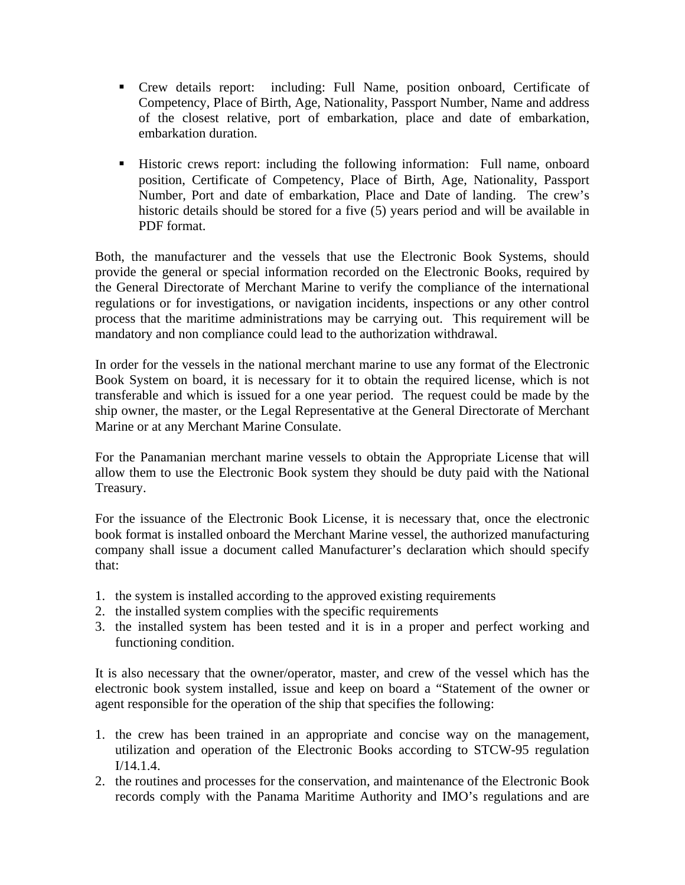- Crew details report: including: Full Name, position onboard, Certificate of Competency, Place of Birth, Age, Nationality, Passport Number, Name and address of the closest relative, port of embarkation, place and date of embarkation, embarkation duration.
- Historic crews report: including the following information: Full name, onboard position, Certificate of Competency, Place of Birth, Age, Nationality, Passport Number, Port and date of embarkation, Place and Date of landing. The crew's historic details should be stored for a five (5) years period and will be available in PDF format.

Both, the manufacturer and the vessels that use the Electronic Book Systems, should provide the general or special information recorded on the Electronic Books, required by the General Directorate of Merchant Marine to verify the compliance of the international regulations or for investigations, or navigation incidents, inspections or any other control process that the maritime administrations may be carrying out. This requirement will be mandatory and non compliance could lead to the authorization withdrawal.

In order for the vessels in the national merchant marine to use any format of the Electronic Book System on board, it is necessary for it to obtain the required license, which is not transferable and which is issued for a one year period. The request could be made by the ship owner, the master, or the Legal Representative at the General Directorate of Merchant Marine or at any Merchant Marine Consulate.

For the Panamanian merchant marine vessels to obtain the Appropriate License that will allow them to use the Electronic Book system they should be duty paid with the National Treasury.

For the issuance of the Electronic Book License, it is necessary that, once the electronic book format is installed onboard the Merchant Marine vessel, the authorized manufacturing company shall issue a document called Manufacturer's declaration which should specify that:

- 1. the system is installed according to the approved existing requirements
- 2. the installed system complies with the specific requirements
- 3. the installed system has been tested and it is in a proper and perfect working and functioning condition.

It is also necessary that the owner/operator, master, and crew of the vessel which has the electronic book system installed, issue and keep on board a "Statement of the owner or agent responsible for the operation of the ship that specifies the following:

- 1. the crew has been trained in an appropriate and concise way on the management, utilization and operation of the Electronic Books according to STCW-95 regulation I/14.1.4.
- 2. the routines and processes for the conservation, and maintenance of the Electronic Book records comply with the Panama Maritime Authority and IMO's regulations and are